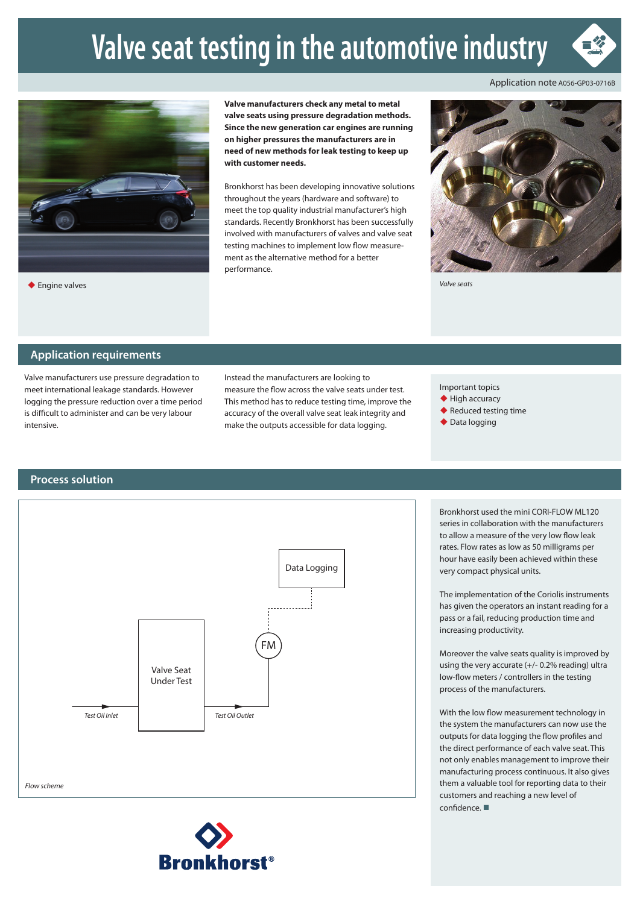# **Valve seat testing in the automotive industry**



Application note A056-GP03-0716B



◆ Engine valves

**Valve manufacturers check any metal to metal valve seats using pressure degradation methods. Since the new generation car engines are running on higher pressures the manufacturers are in need of new methods for leak testing to keep up with customer needs.**

Bronkhorst has been developing innovative solutions throughout the years (hardware and software) to meet the top quality industrial manufacturer's high standards. Recently Bronkhorst has been successfully involved with manufacturers of valves and valve seat testing machines to implement low flow measurement as the alternative method for a better performance.



*Valve seats*

#### **Application requirements**

Valve manufacturers use pressure degradation to meet international leakage standards. However logging the pressure reduction over a time period is difficult to administer and can be very labour intensive.

Instead the manufacturers are looking to measure the flow across the valve seats under test. This method has to reduce testing time, improve the accuracy of the overall valve seat leak integrity and make the outputs accessible for data logging.

Important topics

◆ High accuracy

- ◆ Reduced testing time
- ◆ Data logging

### **Process solution**





Bronkhorst used the mini CORI-FLOW ML120 series in collaboration with the manufacturers to allow a measure of the very low flow leak rates. Flow rates as low as 50 milligrams per hour have easily been achieved within these very compact physical units.

The implementation of the Coriolis instruments has given the operators an instant reading for a pass or a fail, reducing production time and increasing productivity.

Moreover the valve seats quality is improved by using the very accurate (+/- 0.2% reading) ultra low-flow meters / controllers in the testing process of the manufacturers.

With the low flow measurement technology in the system the manufacturers can now use the outputs for data logging the flow profiles and the direct performance of each valve seat. This not only enables management to improve their manufacturing process continuous. It also gives them a valuable tool for reporting data to their customers and reaching a new level of confidence. ■